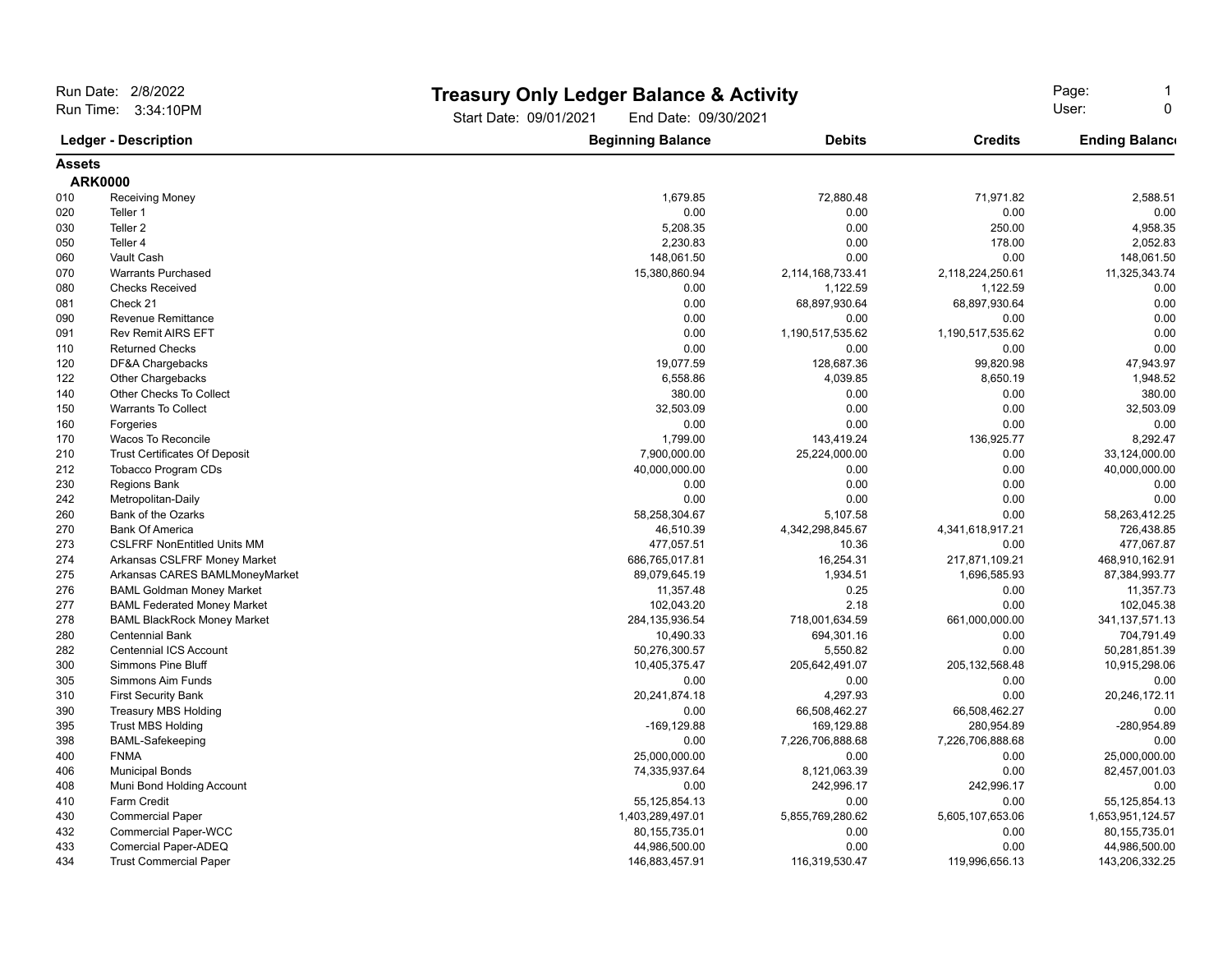| Run Date: 2/8/2022<br>Run Time: 3:34:10PM<br><b>Ledger - Description</b> |                                      |                                                | <b>Treasury Only Ledger Balance &amp; Activity</b> |                   |                       |
|--------------------------------------------------------------------------|--------------------------------------|------------------------------------------------|----------------------------------------------------|-------------------|-----------------------|
|                                                                          |                                      | Start Date: 09/01/2021<br>End Date: 09/30/2021 | Page:<br>User:<br>$\Omega$                         |                   |                       |
|                                                                          |                                      | <b>Beginning Balance</b>                       | <b>Debits</b>                                      | <b>Credits</b>    | <b>Ending Balance</b> |
| <b>Assets</b>                                                            |                                      |                                                |                                                    |                   |                       |
|                                                                          | <b>ARK0000</b>                       |                                                |                                                    |                   |                       |
| 010                                                                      | <b>Receiving Money</b>               | 1,679.85                                       | 72,880.48                                          | 71,971.82         | 2,588.51              |
| 020                                                                      | Teller 1                             | 0.00                                           | 0.00                                               | 0.00              | 0.00                  |
| 030                                                                      | Teller <sub>2</sub>                  | 5,208.35                                       | 0.00                                               | 250.00            | 4,958.35              |
| 050                                                                      | Teller 4                             | 2,230.83                                       | 0.00                                               | 178.00            | 2,052.83              |
| 060                                                                      | Vault Cash                           | 148,061.50                                     | 0.00                                               | 0.00              | 148,061.50            |
| 070                                                                      | <b>Warrants Purchased</b>            | 15,380,860.94                                  | 2,114,168,733.41                                   | 2,118,224,250.61  | 11,325,343.74         |
| 080                                                                      | <b>Checks Received</b>               | 0.00                                           | 1,122.59                                           | 1,122.59          | 0.00                  |
| 081                                                                      | Check 21                             | 0.00                                           | 68,897,930.64                                      | 68,897,930.64     | 0.00                  |
| 090                                                                      | Revenue Remittance                   | 0.00                                           | 0.00                                               | 0.00              | 0.00                  |
| 091                                                                      | <b>Rev Remit AIRS EFT</b>            | 0.00                                           | 1,190,517,535.62                                   | 1,190,517,535.62  | 0.00                  |
| 110                                                                      | <b>Returned Checks</b>               | 0.00                                           | 0.00                                               | 0.00              | 0.00                  |
| 120                                                                      | DF&A Chargebacks                     | 19,077.59                                      | 128,687.36                                         | 99,820.98         | 47,943.97             |
| 122                                                                      | Other Chargebacks                    | 6,558.86                                       | 4,039.85                                           | 8,650.19          | 1,948.52              |
| 140                                                                      | Other Checks To Collect              | 380.00                                         | 0.00                                               | 0.00              | 380.00                |
| 150                                                                      | <b>Warrants To Collect</b>           | 32,503.09                                      | 0.00                                               | 0.00              | 32,503.09             |
| 160                                                                      | Forgeries                            | 0.00                                           | 0.00                                               | 0.00              | 0.00                  |
| 170                                                                      | Wacos To Reconcile                   | 1,799.00                                       | 143,419.24                                         | 136,925.77        | 8,292.47              |
| 210                                                                      | <b>Trust Certificates Of Deposit</b> | 7,900,000.00                                   | 25,224,000.00                                      | 0.00              | 33,124,000.00         |
| 212                                                                      | <b>Tobacco Program CDs</b>           | 40,000,000.00                                  | 0.00                                               | 0.00              | 40,000,000.00         |
| 230                                                                      | <b>Regions Bank</b>                  | 0.00                                           | 0.00                                               | 0.00              | 0.00                  |
| 242                                                                      | Metropolitan-Daily                   | 0.00                                           | 0.00                                               | 0.00              | 0.00                  |
| 260                                                                      | Bank of the Ozarks                   | 58,258,304.67                                  | 5,107.58                                           | 0.00              | 58,263,412.25         |
| 270                                                                      | <b>Bank Of America</b>               | 46,510.39                                      | 4,342,298,845.67                                   | 4,341,618,917.21  | 726,438.85            |
| 273                                                                      | <b>CSLFRF NonEntitled Units MM</b>   | 477,057.51                                     | 10.36                                              | 0.00              | 477,067.87            |
| 274                                                                      | Arkansas CSLFRF Money Market         | 686,765,017.81                                 | 16,254.31                                          | 217,871,109.21    | 468,910,162.91        |
| 275                                                                      | Arkansas CARES BAMLMoneyMarket       | 89,079,645.19                                  | 1,934.51                                           | 1,696,585.93      | 87,384,993.77         |
| 276                                                                      | <b>BAML Goldman Money Market</b>     | 11,357.48                                      | 0.25                                               | 0.00              | 11,357.73             |
| 277                                                                      | <b>BAML Federated Money Market</b>   | 102,043.20                                     | 2.18                                               | 0.00              | 102,045.38            |
| 278                                                                      | <b>BAML BlackRock Money Market</b>   | 284, 135, 936.54                               | 718,001,634.59                                     | 661,000,000.00    | 341, 137, 571. 13     |
| 280                                                                      | <b>Centennial Bank</b>               | 10,490.33                                      | 694,301.16                                         | 0.00              | 704,791.49            |
| 282                                                                      | <b>Centennial ICS Account</b>        | 50,276,300.57                                  | 5,550.82                                           | 0.00              | 50,281,851.39         |
| 300                                                                      | <b>Simmons Pine Bluff</b>            | 10,405,375.47                                  | 205,642,491.07                                     | 205, 132, 568. 48 | 10,915,298.06         |
| 305                                                                      | Simmons Aim Funds                    | 0.00                                           | 0.00                                               | 0.00              | 0.00                  |
| 310                                                                      | <b>First Security Bank</b>           | 20,241,874.18                                  | 4,297.93                                           | 0.00              | 20,246,172.11         |
| 390                                                                      | <b>Treasury MBS Holding</b>          | 0.00                                           | 66,508,462.27                                      | 66,508,462.27     | 0.00                  |
| 395                                                                      | <b>Trust MBS Holding</b>             | $-169, 129.88$                                 | 169,129.88                                         | 280,954.89        | -280,954.89           |
| 398                                                                      | <b>BAML-Safekeeping</b>              | 0.00                                           | 7,226,706,888.68                                   | 7,226,706,888.68  | 0.00                  |
| 400                                                                      | <b>FNMA</b>                          | 25,000,000.00                                  | 0.00                                               | 0.00              | 25,000,000.00         |
| 406                                                                      | <b>Municipal Bonds</b>               | 74,335,937.64                                  | 8,121,063.39                                       | 0.00              | 82,457,001.03         |
| 408                                                                      | Muni Bond Holding Account            | 0.00                                           | 242,996.17                                         | 242,996.17        | 0.00                  |
| 410                                                                      | <b>Farm Credit</b>                   | 55,125,854.13                                  | 0.00                                               | 0.00              | 55, 125, 854. 13      |
| 430                                                                      | <b>Commercial Paper</b>              | 1,403,289,497.01                               | 5,855,769,280.62                                   | 5,605,107,653.06  | 1,653,951,124.57      |
| 432                                                                      | <b>Commercial Paper-WCC</b>          | 80, 155, 735.01                                | 0.00                                               | 0.00              | 80, 155, 735.01       |
| 433                                                                      | Comercial Paper-ADEQ                 | 44,986,500.00                                  | 0.00                                               | 0.00              | 44,986,500.00         |
| 434                                                                      | <b>Trust Commercial Paper</b>        | 146,883,457.91                                 | 116,319,530.47                                     | 119,996,656.13    | 143,206,332.25        |